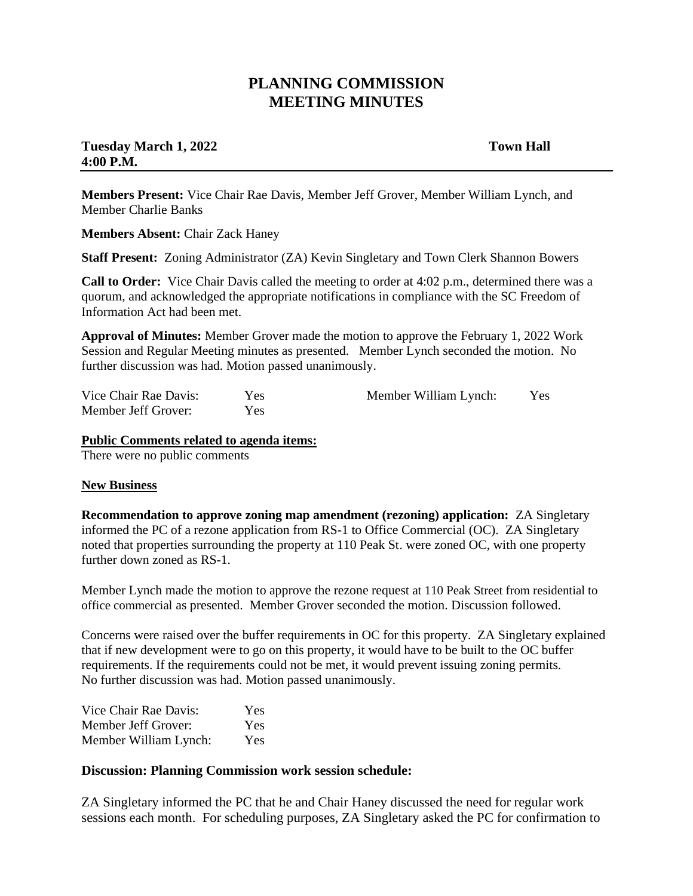## **PLANNING COMMISSION MEETING MINUTES**

### **Tuesday March 1, 2022** Town Hall **4:00 P.M.**

**Members Present:** Vice Chair Rae Davis, Member Jeff Grover, Member William Lynch, and Member Charlie Banks

**Members Absent:** Chair Zack Haney

**Staff Present:** Zoning Administrator (ZA) Kevin Singletary and Town Clerk Shannon Bowers

**Call to Order:** Vice Chair Davis called the meeting to order at 4:02 p.m., determined there was a quorum, and acknowledged the appropriate notifications in compliance with the SC Freedom of Information Act had been met.

**Approval of Minutes:** Member Grover made the motion to approve the February 1, 2022 Work Session and Regular Meeting minutes as presented. Member Lynch seconded the motion. No further discussion was had. Motion passed unanimously.

Vice Chair Rae Davis: Yes Member Jeff Grover: Yes Member William Lynch: Yes

# **Public Comments related to agenda items:**

There were no public comments

### **New Business**

**Recommendation to approve zoning map amendment (rezoning) application:** ZA Singletary informed the PC of a rezone application from RS-1 to Office Commercial (OC). ZA Singletary noted that properties surrounding the property at 110 Peak St. were zoned OC, with one property further down zoned as RS-1.

Member Lynch made the motion to approve the rezone request at 110 Peak Street from residential to office commercial as presented. Member Grover seconded the motion. Discussion followed.

Concerns were raised over the buffer requirements in OC for this property. ZA Singletary explained that if new development were to go on this property, it would have to be built to the OC buffer requirements. If the requirements could not be met, it would prevent issuing zoning permits. No further discussion was had. Motion passed unanimously.

| Vice Chair Rae Davis: | <b>Yes</b> |
|-----------------------|------------|
| Member Jeff Grover:   | Yes        |
| Member William Lynch: | <b>Yes</b> |

### **Discussion: Planning Commission work session schedule:**

ZA Singletary informed the PC that he and Chair Haney discussed the need for regular work sessions each month. For scheduling purposes, ZA Singletary asked the PC for confirmation to